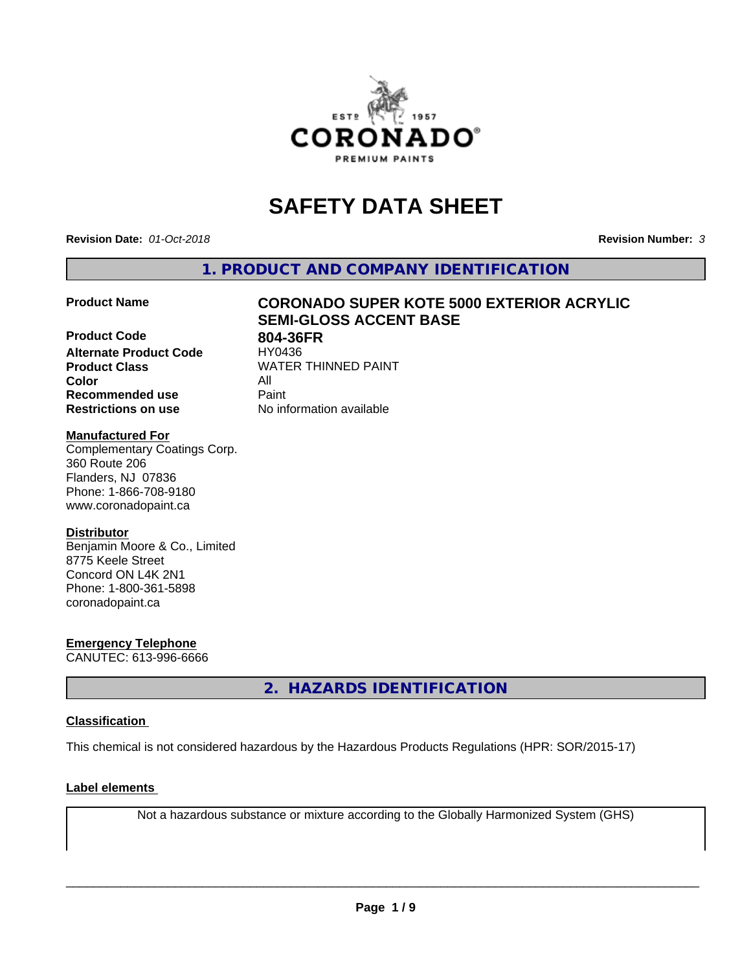

# **SAFETY DATA SHEET**

**Revision Date:** *01-Oct-2018* **Revision Number:** *3*

**1. PRODUCT AND COMPANY IDENTIFICATION**

**Product Code 804-36FR**<br> **Alternate Product Code HY0436 Alternate Product Code Product Class** WATER THINNED PAINT<br>
Color **Color** All **Recommended use** Paint **Restrictions on use** No information available

# **Product Name CORONADO SUPER KOTE 5000 EXTERIOR ACRYLIC SEMI-GLOSS ACCENT BASE**

#### **Manufactured For**

Complementary Coatings Corp. 360 Route 206 Flanders, NJ 07836 Phone: 1-866-708-9180 www.coronadopaint.ca

### **Distributor**

Benjamin Moore & Co., Limited 8775 Keele Street Concord ON L4K 2N1 Phone: 1-800-361-5898 coronadopaint.ca

**Emergency Telephone** CANUTEC: 613-996-6666

**2. HAZARDS IDENTIFICATION**

### **Classification**

This chemical is not considered hazardous by the Hazardous Products Regulations (HPR: SOR/2015-17)

#### **Label elements**

Not a hazardous substance or mixture according to the Globally Harmonized System (GHS)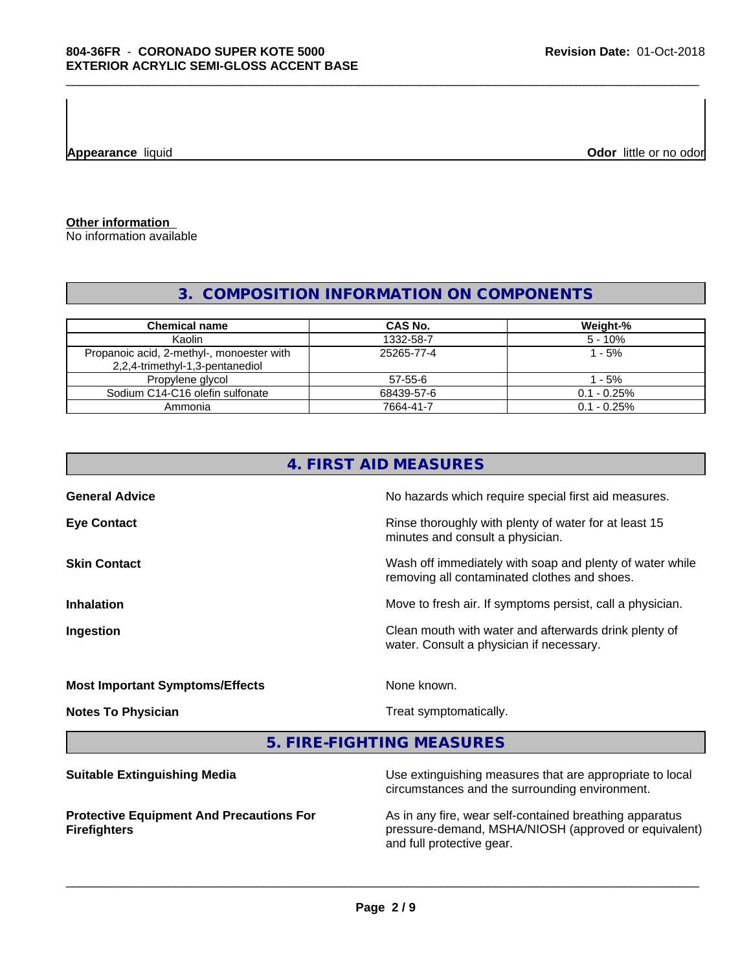**Appearance** liquid **CODO** *Appearance liquid* **Odor**  *CODO CODO* **<b>***CODO CODO CODO CODO CODO CODO CODO CODO CODO CODO CODO CODO CODO CODO CODO CODO CODO* 

**Other information**

No information available

# **3. COMPOSITION INFORMATION ON COMPONENTS**

| <b>Chemical name</b>                                                         | <b>CAS No.</b> | Weight-%      |
|------------------------------------------------------------------------------|----------------|---------------|
| Kaolin                                                                       | 1332-58-7      | $5 - 10%$     |
| Propanoic acid, 2-methyl-, monoester with<br>2,2,4-trimethyl-1,3-pentanediol | 25265-77-4     | l - 5%        |
| Propylene glycol                                                             | 57-55-6        | - 5%          |
| Sodium C14-C16 olefin sulfonate                                              | 68439-57-6     | $0.1 - 0.25%$ |
| Ammonia                                                                      | 7664-41-7      | $0.1 - 0.25%$ |

|                                        | 4. FIRST AID MEASURES                                                                                    |
|----------------------------------------|----------------------------------------------------------------------------------------------------------|
| <b>General Advice</b>                  | No hazards which require special first aid measures.                                                     |
| <b>Eye Contact</b>                     | Rinse thoroughly with plenty of water for at least 15<br>minutes and consult a physician.                |
| <b>Skin Contact</b>                    | Wash off immediately with soap and plenty of water while<br>removing all contaminated clothes and shoes. |
| <b>Inhalation</b>                      | Move to fresh air. If symptoms persist, call a physician.                                                |
| Ingestion                              | Clean mouth with water and afterwards drink plenty of<br>water. Consult a physician if necessary.        |
| <b>Most Important Symptoms/Effects</b> | None known.                                                                                              |
| <b>Notes To Physician</b>              | Treat symptomatically.                                                                                   |
|                                        | 5. FIRE-FIGHTING MEASURES                                                                                |

**Suitable Extinguishing Media** Media Use extinguishing measures that are appropriate to local circumstances and the surrounding environment. **Protective Equipment And Precautions For Firefighters** As in any fire, wear self-contained breathing apparatus pressure-demand, MSHA/NIOSH (approved or equivalent) and full protective gear.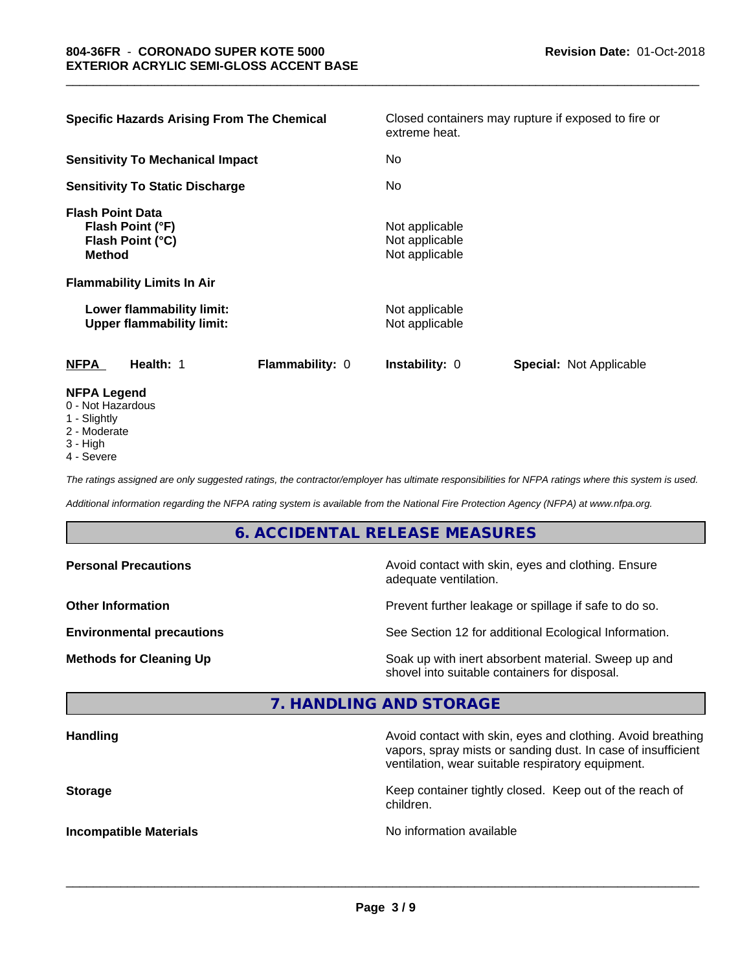| <b>Specific Hazards Arising From The Chemical</b>                                                                     |                 | extreme heat.                                      | Closed containers may rupture if exposed to fire or |  |
|-----------------------------------------------------------------------------------------------------------------------|-----------------|----------------------------------------------------|-----------------------------------------------------|--|
| <b>Sensitivity To Mechanical Impact</b>                                                                               |                 | No.                                                |                                                     |  |
| <b>Sensitivity To Static Discharge</b>                                                                                |                 | No                                                 |                                                     |  |
| <b>Flash Point Data</b><br>Flash Point (°F)<br>Flash Point (°C)<br><b>Method</b><br><b>Flammability Limits In Air</b> |                 | Not applicable<br>Not applicable<br>Not applicable |                                                     |  |
| Lower flammability limit:<br><b>Upper flammability limit:</b>                                                         |                 | Not applicable<br>Not applicable                   |                                                     |  |
| <b>NFPA</b><br>Health: 1                                                                                              | Flammability: 0 | Instability: 0                                     | <b>Special: Not Applicable</b>                      |  |
| <b>NFPA Legend</b><br>0 - Not Hazardous<br>1 - Slightly<br>$0 \leq M$                                                 |                 |                                                    |                                                     |  |

\_\_\_\_\_\_\_\_\_\_\_\_\_\_\_\_\_\_\_\_\_\_\_\_\_\_\_\_\_\_\_\_\_\_\_\_\_\_\_\_\_\_\_\_\_\_\_\_\_\_\_\_\_\_\_\_\_\_\_\_\_\_\_\_\_\_\_\_\_\_\_\_\_\_\_\_\_\_\_\_\_\_\_\_\_\_\_\_\_\_\_\_\_

- 
- 2 Moderate 3 - High
- 4 Severe

*The ratings assigned are only suggested ratings, the contractor/employer has ultimate responsibilities for NFPA ratings where this system is used.*

*Additional information regarding the NFPA rating system is available from the National Fire Protection Agency (NFPA) at www.nfpa.org.*

# **6. ACCIDENTAL RELEASE MEASURES**

| <b>Personal Precautions</b>      | Avoid contact with skin, eyes and clothing. Ensure<br>adequate ventilation.                          |
|----------------------------------|------------------------------------------------------------------------------------------------------|
| <b>Other Information</b>         | Prevent further leakage or spillage if safe to do so.                                                |
| <b>Environmental precautions</b> | See Section 12 for additional Ecological Information.                                                |
| <b>Methods for Cleaning Up</b>   | Soak up with inert absorbent material. Sweep up and<br>shovel into suitable containers for disposal. |

# **7. HANDLING AND STORAGE**

| <b>Handling</b>               | Avoid contact with skin, eyes and clothing. Avoid breathing<br>vapors, spray mists or sanding dust. In case of insufficient<br>ventilation, wear suitable respiratory equipment. |
|-------------------------------|----------------------------------------------------------------------------------------------------------------------------------------------------------------------------------|
| <b>Storage</b>                | Keep container tightly closed. Keep out of the reach of<br>children.                                                                                                             |
| <b>Incompatible Materials</b> | No information available                                                                                                                                                         |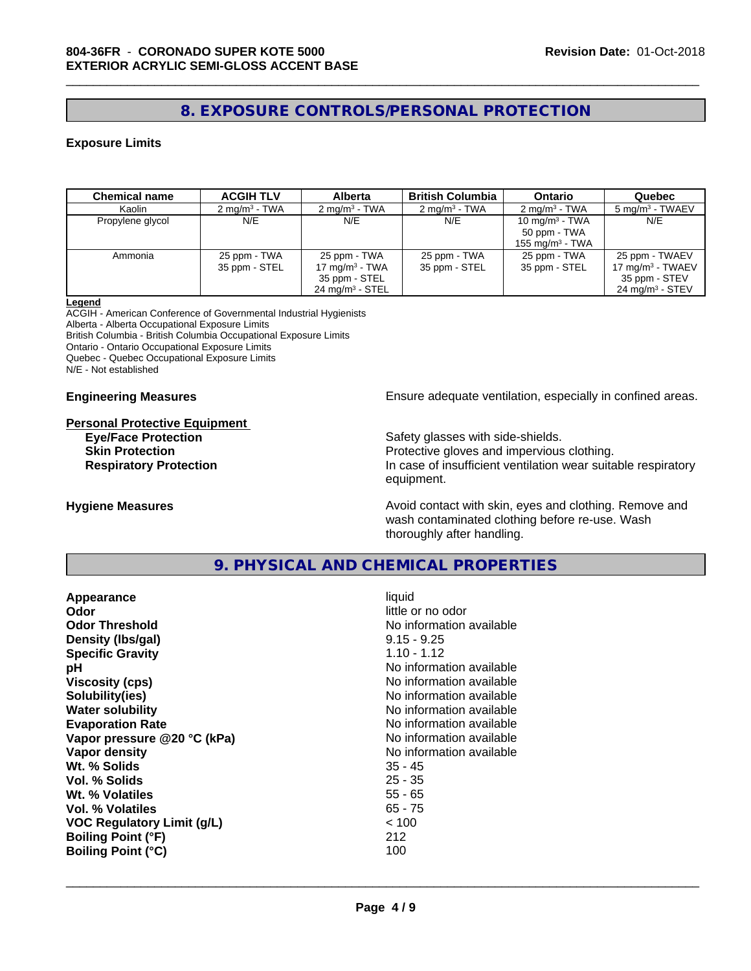# **8. EXPOSURE CONTROLS/PERSONAL PROTECTION**

#### **Exposure Limits**

| <b>Chemical name</b> | <b>ACGIH TLV</b>         | <b>Alberta</b>             | <b>British Columbia</b>  | <b>Ontario</b>            | Quebec                      |
|----------------------|--------------------------|----------------------------|--------------------------|---------------------------|-----------------------------|
| Kaolin               | $2 \text{ ma/m}^3$ - TWA | $2 \text{ ma/m}^3$ - TWA   | $2 \text{ ma/m}^3$ - TWA | $2 \text{ mg/m}^3$ - TWA  | 5 mg/m <sup>3</sup> - TWAEV |
| Propylene glycol     | N/E                      | N/E                        | N/E                      | $10 \text{ mg/m}^3$ - TWA | N/E                         |
|                      |                          |                            |                          | 50 ppm - TWA              |                             |
|                      |                          |                            |                          | 155 mg/m $3$ - TWA        |                             |
| Ammonia              | 25 ppm - TWA             | 25 ppm - TWA               | 25 ppm - TWA             | 25 ppm - TWA              | 25 ppm - TWAEV              |
|                      | 35 ppm - STEL            | 17 mg/m $3$ - TWA          | 35 ppm - STEL            | 35 ppm - STEL             | 17 mg/m $3$ - TWAEV         |
|                      |                          | 35 ppm - STEL              |                          |                           | 35 ppm - STEV               |
|                      |                          | $24 \text{ mg/m}^3$ - STEL |                          |                           | $24 \text{ mg/m}^3$ - STEV  |

#### **Legend**

ACGIH - American Conference of Governmental Industrial Hygienists Alberta - Alberta Occupational Exposure Limits British Columbia - British Columbia Occupational Exposure Limits Ontario - Ontario Occupational Exposure Limits Quebec - Quebec Occupational Exposure Limits

N/E - Not established

#### **Personal Protective Equipment**

**Engineering Measures Ensure adequate ventilation, especially in confined areas.** 

**Eye/Face Protection Safety glasses with side-shields.** Safety glasses with side-shields. **Skin Protection Protection** Protective gloves and impervious clothing. **Respiratory Protection In case of insufficient ventilation wear suitable respiratory** equipment.

**Hygiene Measures Avoid contact with skin, eyes and clothing. Remove and Avoid contact with skin, eyes and clothing. Remove and Avoid contact with skin, eyes and clothing. Remove and** wash contaminated clothing before re-use. Wash thoroughly after handling.

# **9. PHYSICAL AND CHEMICAL PROPERTIES**

| Appearance                        | liquid                   |
|-----------------------------------|--------------------------|
| Odor                              | little or no odor        |
| <b>Odor Threshold</b>             | No information available |
| Density (Ibs/gal)                 | $9.15 - 9.25$            |
| <b>Specific Gravity</b>           | $1.10 - 1.12$            |
| рH                                | No information available |
| <b>Viscosity (cps)</b>            | No information available |
| Solubility(ies)                   | No information available |
| <b>Water solubility</b>           | No information available |
| <b>Evaporation Rate</b>           | No information available |
| Vapor pressure @20 °C (kPa)       | No information available |
| Vapor density                     | No information available |
| Wt. % Solids                      | $35 - 45$                |
| Vol. % Solids                     | $25 - 35$                |
| Wt. % Volatiles                   | $55 - 65$                |
| Vol. % Volatiles                  | $65 - 75$                |
| <b>VOC Regulatory Limit (g/L)</b> | < 100                    |
| <b>Boiling Point (°F)</b>         | 212                      |
| <b>Boiling Point (°C)</b>         | 100                      |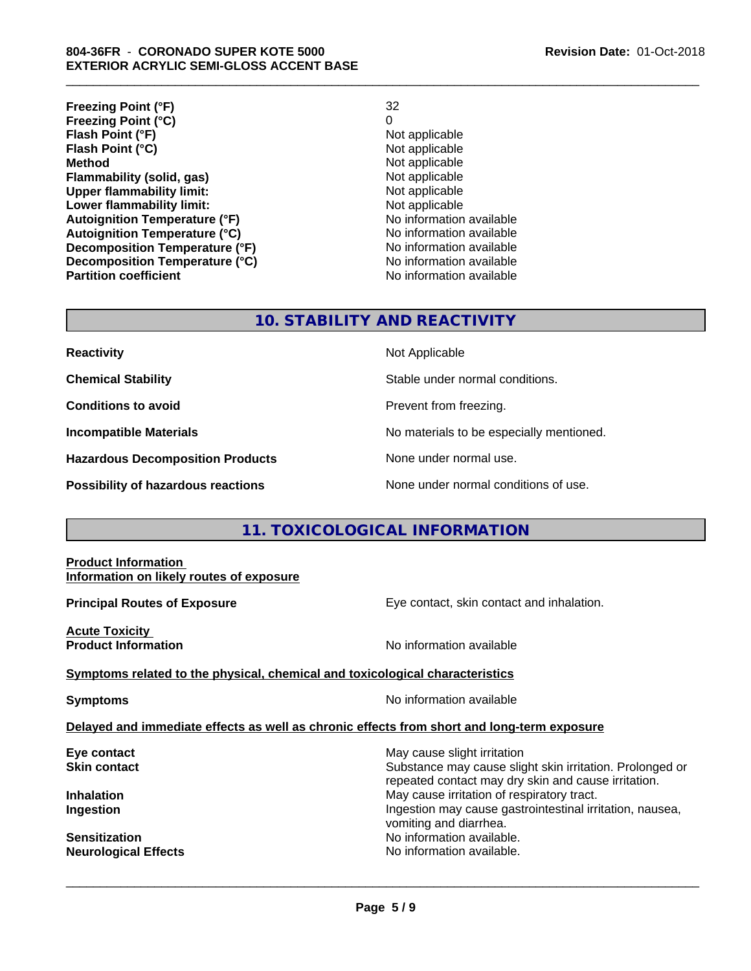**Freezing Point (°F)** 32 **Freezing Point (°C)** 0 **Flash Point (°F)**<br> **Flash Point (°C)**<br> **Flash Point (°C)**<br> **Point (°C)**<br> **Point (°C)**<br> **Point (°C)**<br> **Point (°C)**<br> **Point (°C) Flash Point (°C) Method**<br> **Flammability (solid, gas)** Not applicable Not applicable **Flammability** (solid, gas) **Upper flammability limit:**<br> **Lower flammability limit:**<br>
Not applicable<br>
Not applicable **Lower flammability limit:**<br> **Autoignition Temperature (°F)** Not applicable havailable **Autoignition Temperature (°F) Autoignition Temperature (°C)** No information available **Decomposition Temperature (°F)**<br> **Decomposition Temperature (°C)**<br>
No information available **Decomposition Temperature (°C) Partition coefficient Contract Contract Contract Contract Contract Contract Contract Contract Contract Contract Contract Contract Contract Contract Contract Contract Contract Contract Contract Contract Contract Contract** 

#### **Revision Date:** 01-Oct-2018

\_\_\_\_\_\_\_\_\_\_\_\_\_\_\_\_\_\_\_\_\_\_\_\_\_\_\_\_\_\_\_\_\_\_\_\_\_\_\_\_\_\_\_\_\_\_\_\_\_\_\_\_\_\_\_\_\_\_\_\_\_\_\_\_\_\_\_\_\_\_\_\_\_\_\_\_\_\_\_\_\_\_\_\_\_\_\_\_\_\_\_\_\_

# **10. STABILITY AND REACTIVITY**

| <b>Reactivity</b>                       | Not Applicable                           |
|-----------------------------------------|------------------------------------------|
| <b>Chemical Stability</b>               | Stable under normal conditions.          |
| <b>Conditions to avoid</b>              | Prevent from freezing.                   |
| <b>Incompatible Materials</b>           | No materials to be especially mentioned. |
| <b>Hazardous Decomposition Products</b> | None under normal use.                   |
| Possibility of hazardous reactions      | None under normal conditions of use.     |

# **11. TOXICOLOGICAL INFORMATION**

#### **Product Information Information on likely routes of exposure**

**Principal Routes of Exposure Exposure** Eye contact, skin contact and inhalation.

**Acute Toxicity Product Information Information No information available** 

**Symptoms** related to the physical, chemical and toxicological characteristics

**Symptoms** No information available

#### **Delayed and immediate effects as well as chronic effects from short and long-term exposure**

**Neurological Effects No information available.** 

**Eye contact Exercise Solution** May cause slight irritation **Skin contact** Substance may cause slight skin irritation. Prolonged or repeated contact may dry skin and cause irritation. **Inhalation Inhalation Inhalation May cause irritation of respiratory tract. Ingestion Ingestion Ingestion may cause gastrointestinal irritation, nausea,** vomiting and diarrhea. **Sensitization** No information available.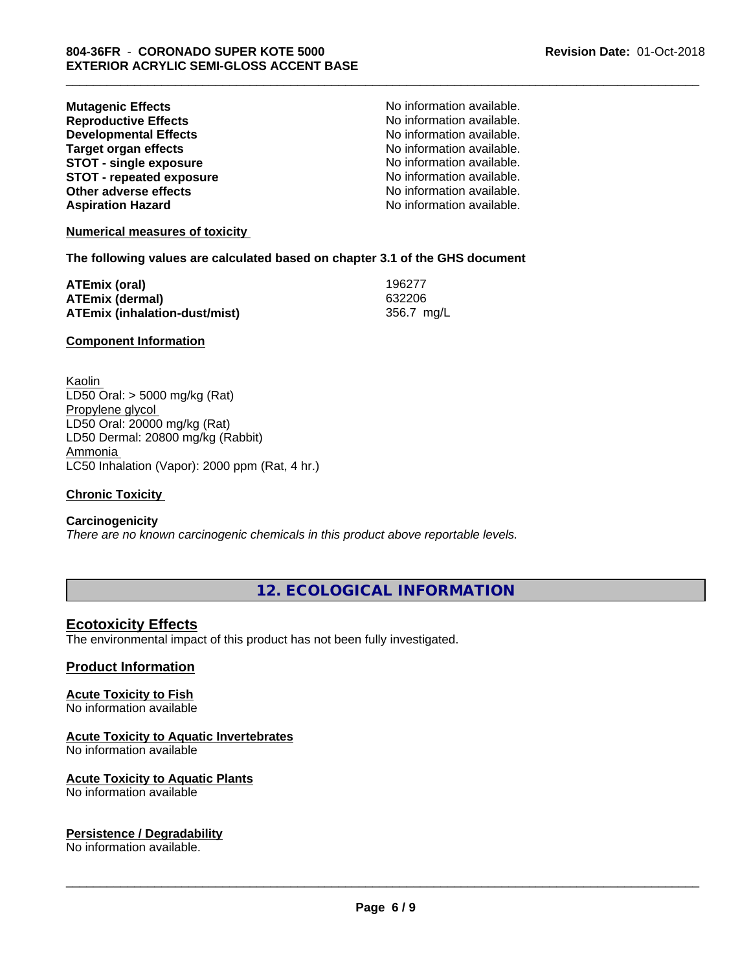| <b>Mutagenic Effects</b>        | No information available. |
|---------------------------------|---------------------------|
| <b>Reproductive Effects</b>     | No information available. |
| <b>Developmental Effects</b>    | No information available. |
| <b>Target organ effects</b>     | No information available. |
| <b>STOT - single exposure</b>   | No information available. |
| <b>STOT - repeated exposure</b> | No information available. |
| Other adverse effects           | No information available. |
| <b>Aspiration Hazard</b>        | No information available. |

#### **Numerical measures of toxicity**

#### **The following values are calculated based on chapter 3.1 of the GHS document**

| ATEmix (oral)                 | 196277     |
|-------------------------------|------------|
| <b>ATEmix (dermal)</b>        | 632206     |
| ATEmix (inhalation-dust/mist) | 356.7 mg/L |

#### **Component Information**

Kaolin LD50 Oral: > 5000 mg/kg (Rat) Propylene glycol LD50 Oral: 20000 mg/kg (Rat) LD50 Dermal: 20800 mg/kg (Rabbit) Ammonia LC50 Inhalation (Vapor): 2000 ppm (Rat, 4 hr.)

#### **Chronic Toxicity**

#### **Carcinogenicity**

*There are no known carcinogenic chemicals in this product above reportable levels.*

**12. ECOLOGICAL INFORMATION**

\_\_\_\_\_\_\_\_\_\_\_\_\_\_\_\_\_\_\_\_\_\_\_\_\_\_\_\_\_\_\_\_\_\_\_\_\_\_\_\_\_\_\_\_\_\_\_\_\_\_\_\_\_\_\_\_\_\_\_\_\_\_\_\_\_\_\_\_\_\_\_\_\_\_\_\_\_\_\_\_\_\_\_\_\_\_\_\_\_\_\_\_\_

### **Ecotoxicity Effects**

The environmental impact of this product has not been fully investigated.

#### **Product Information**

# **Acute Toxicity to Fish**

No information available

#### **Acute Toxicity to Aquatic Invertebrates**

No information available

#### **Acute Toxicity to Aquatic Plants**

No information available

#### **Persistence / Degradability**

No information available.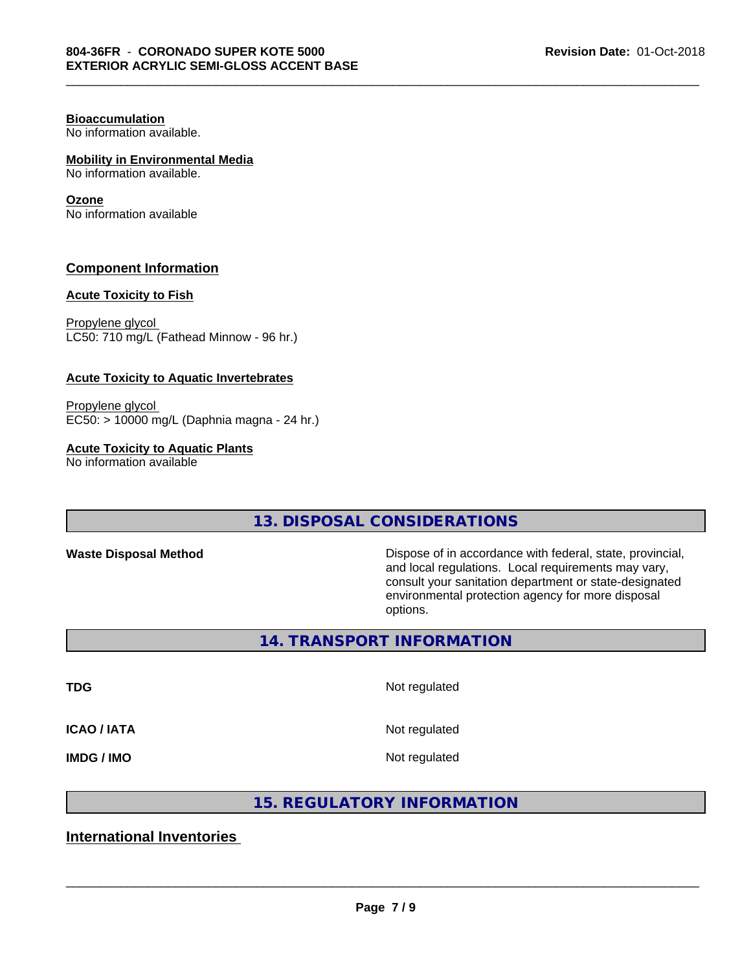# **Bioaccumulation**

No information available.

# **Mobility in Environmental Media**

No information available.

#### **Ozone**

No information available

### **Component Information**

#### **Acute Toxicity to Fish**

Propylene glycol LC50: 710 mg/L (Fathead Minnow - 96 hr.)

#### **Acute Toxicity to Aquatic Invertebrates**

Propylene glycol EC50: > 10000 mg/L (Daphnia magna - 24 hr.)

#### **Acute Toxicity to Aquatic Plants**

No information available

## **13. DISPOSAL CONSIDERATIONS**

**Waste Disposal Method Dispose of in accordance with federal, state, provincial,** and local regulations. Local requirements may vary, consult your sanitation department or state-designated environmental protection agency for more disposal options.

**14. TRANSPORT INFORMATION**

**TDG** Not regulated

\_\_\_\_\_\_\_\_\_\_\_\_\_\_\_\_\_\_\_\_\_\_\_\_\_\_\_\_\_\_\_\_\_\_\_\_\_\_\_\_\_\_\_\_\_\_\_\_\_\_\_\_\_\_\_\_\_\_\_\_\_\_\_\_\_\_\_\_\_\_\_\_\_\_\_\_\_\_\_\_\_\_\_\_\_\_\_\_\_\_\_\_\_

**ICAO / IATA** Not regulated

**IMDG / IMO** Not regulated

 $\overline{\phantom{a}}$  ,  $\overline{\phantom{a}}$  ,  $\overline{\phantom{a}}$  ,  $\overline{\phantom{a}}$  ,  $\overline{\phantom{a}}$  ,  $\overline{\phantom{a}}$  ,  $\overline{\phantom{a}}$  ,  $\overline{\phantom{a}}$  ,  $\overline{\phantom{a}}$  ,  $\overline{\phantom{a}}$  ,  $\overline{\phantom{a}}$  ,  $\overline{\phantom{a}}$  ,  $\overline{\phantom{a}}$  ,  $\overline{\phantom{a}}$  ,  $\overline{\phantom{a}}$  ,  $\overline{\phantom{a}}$ 

# **15. REGULATORY INFORMATION**

# **International Inventories**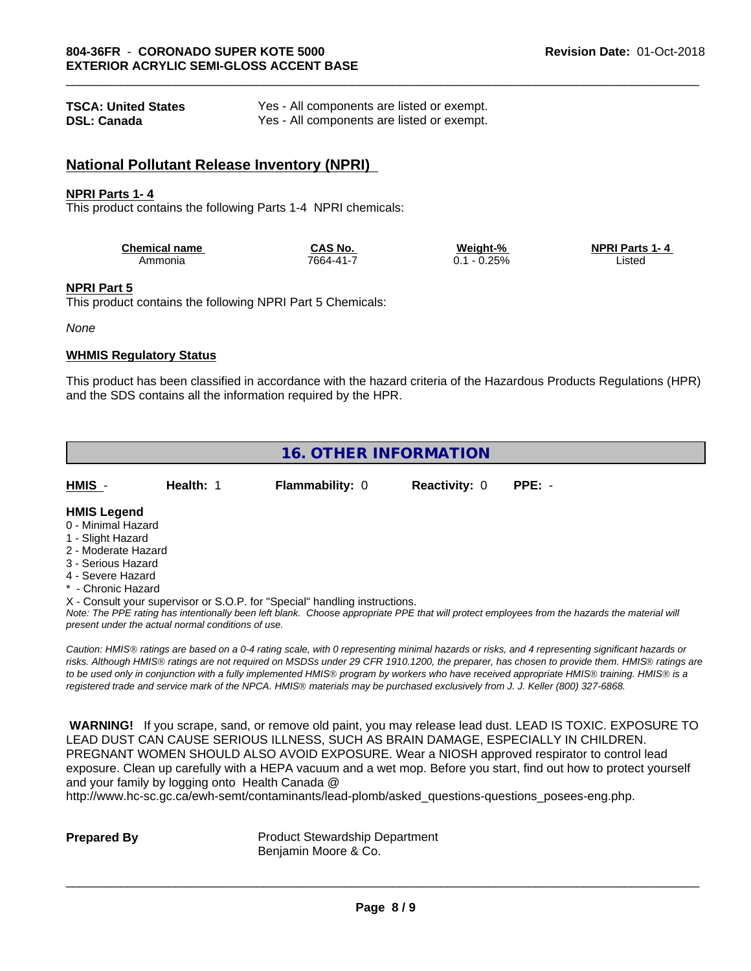| <b>TSCA: United States</b> | Yes - All components are listed or exempt. |
|----------------------------|--------------------------------------------|
| <b>DSL: Canada</b>         | Yes - All components are listed or exempt. |

### **National Pollutant Release Inventory (NPRI)**

#### **NPRI Parts 1- 4**

This product contains the following Parts 1-4 NPRI chemicals:

| <b>Chemical name</b> | $\sim$ S No. $\sim$<br>5AS | Weight-% | <b>NPRI Parts 1-4</b> |
|----------------------|----------------------------|----------|-----------------------|
| Ammonia              | 7664-41-                   | .25%     | ∟ıstec                |

#### **NPRI Part 5**

This product contains the following NPRI Part 5 Chemicals:

*None*

#### **WHMIS Regulatory Status**

This product has been classified in accordance with the hazard criteria of the Hazardous Products Regulations (HPR) and the SDS contains all the information required by the HPR.



#### **HMIS Legend**

- 0 Minimal Hazard
- 1 Slight Hazard
- 2 Moderate Hazard
- 3 Serious Hazard
- 4 Severe Hazard
- \* Chronic Hazard
- X Consult your supervisor or S.O.P. for "Special" handling instructions.

*Note: The PPE rating has intentionally been left blank. Choose appropriate PPE that will protect employees from the hazards the material will present under the actual normal conditions of use.*

*Caution: HMISÒ ratings are based on a 0-4 rating scale, with 0 representing minimal hazards or risks, and 4 representing significant hazards or risks. Although HMISÒ ratings are not required on MSDSs under 29 CFR 1910.1200, the preparer, has chosen to provide them. HMISÒ ratings are to be used only in conjunction with a fully implemented HMISÒ program by workers who have received appropriate HMISÒ training. HMISÒ is a registered trade and service mark of the NPCA. HMISÒ materials may be purchased exclusively from J. J. Keller (800) 327-6868.*

 **WARNING!** If you scrape, sand, or remove old paint, you may release lead dust. LEAD IS TOXIC. EXPOSURE TO LEAD DUST CAN CAUSE SERIOUS ILLNESS, SUCH AS BRAIN DAMAGE, ESPECIALLY IN CHILDREN. PREGNANT WOMEN SHOULD ALSO AVOID EXPOSURE.Wear a NIOSH approved respirator to control lead exposure. Clean up carefully with a HEPA vacuum and a wet mop. Before you start, find out how to protect yourself and your family by logging onto Health Canada @

http://www.hc-sc.gc.ca/ewh-semt/contaminants/lead-plomb/asked\_questions-questions\_posees-eng.php.

**Prepared By** Product Stewardship Department Benjamin Moore & Co.